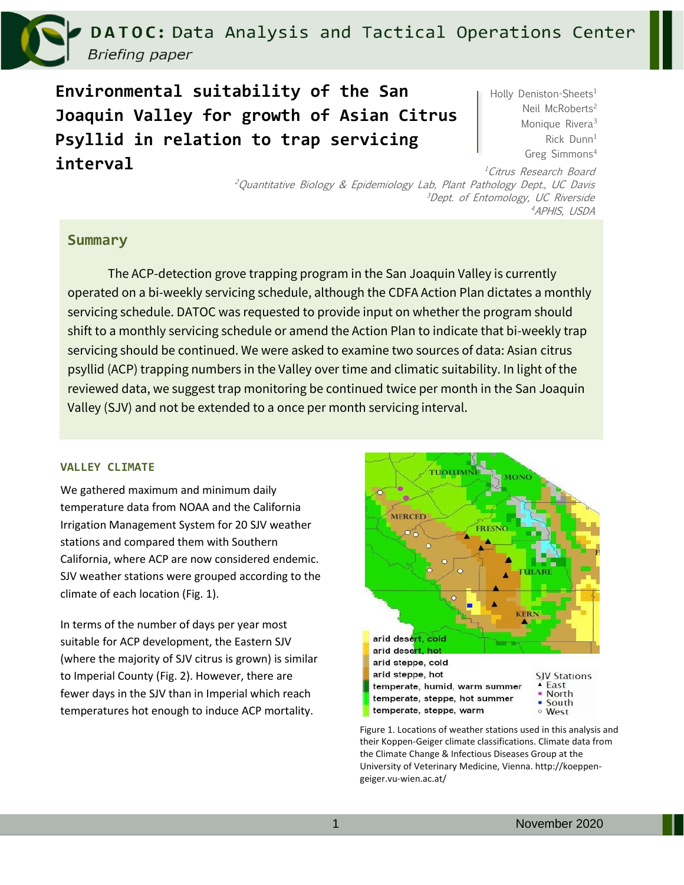DATOC: Data Analysis and Tactical Operations Center **Briefing paper** 

**Environmental suitability of the San Joaquin Valley for growth of Asian Citrus Psyllid in relation to trap servicing interval**

Holly Deniston-Sheets<sup>1</sup> Neil McRoberts<sup>2</sup> Monique Rivera<sup>3</sup> Rick Dunn<sup>1</sup> Greg Simmons<sup>4</sup>

<sup>1</sup>Citrus Research Board <sup>2</sup>Quantitative Biology & Epidemiology Lab, Plant Pathology Dept., UC Davis <sup>3</sup>Dept. of Entomology, UC Riverside <sup>4</sup>APHIS, USDA

## **Summary**

The ACP-detection grove trapping program in the San Joaquin Valley is currently operated on a bi-weekly servicing schedule, although the CDFA Action Plan dictates a monthly servicing schedule. DATOC was requested to provide input on whether the program should shift to a monthly servicing schedule or amend the Action Plan to indicate that bi-weekly trap servicing should be continued. We were asked to examine two sources of data: Asian citrus psyllid (ACP) trapping numbers in the Valley over time and climatic suitability. In light of the reviewed data, we suggest trap monitoring be continued twice per month in the San Joaquin Valley (SJV) and not be extended to a once per month servicing interval.

## **VALLEY CLIMATE**

We gathered maximum and minimum daily temperature data from NOAA and the California Irrigation Management System for 20 SJV weather stations and compared them with Southern California, where ACP are now considered endemic. SJV weather stations were grouped according to the climate of each location (Fig. 1).

In terms of the number of days per year most suitable for ACP development, the Eastern SJV (where the majority of SJV citrus is grown) is similar to Imperial County (Fig. 2). However, there are fewer days in the SJV than in Imperial which reach temperatures hot enough to induce ACP mortality.



Figure 1. Locations of weather stations used in this analysis and their Koppen-Geiger climate classifications. Climate data from the Climate Change & Infectious Diseases Group at the University of Veterinary Medicine, Vienna. http://koeppengeiger.vu-wien.ac.at/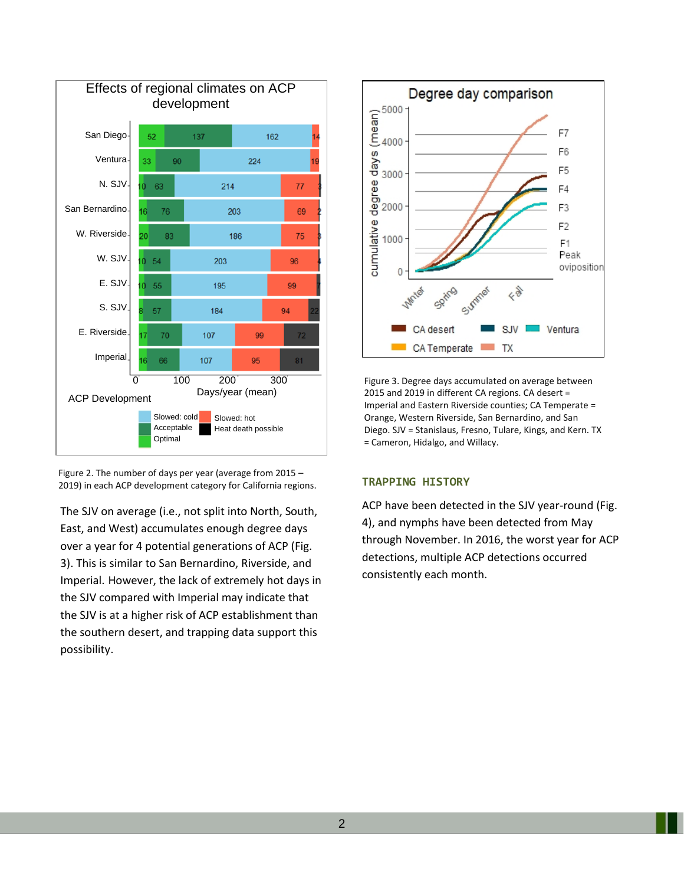

Figure 2. The number of days per year (average from 2015 – 2019) in each ACP development category for California regions.

The SJV on average (i.e., not split into North, South, East, and West) accumulates enough degree days over a year for 4 potential generations of ACP (Fig. 3). This is similar to San Bernardino, Riverside, and Imperial. However, the lack of extremely hot days in the SJV compared with Imperial may indicate that the SJV is at a higher risk of ACP establishment than the southern desert, and trapping data support this possibility.



Figure 3. Degree days accumulated on average between 2015 and 2019 in different CA regions. CA desert = Imperial and Eastern Riverside counties; CA Temperate = Orange, Western Riverside, San Bernardino, and San Diego. SJV = Stanislaus, Fresno, Tulare, Kings, and Kern. TX = Cameron, Hidalgo, and Willacy.

## **TRAPPING HISTORY**

ACP have been detected in the SJV year-round (Fig. 4), and nymphs have been detected from May through November. In 2016, the worst year for ACP detections, multiple ACP detections occurred consistently each month.